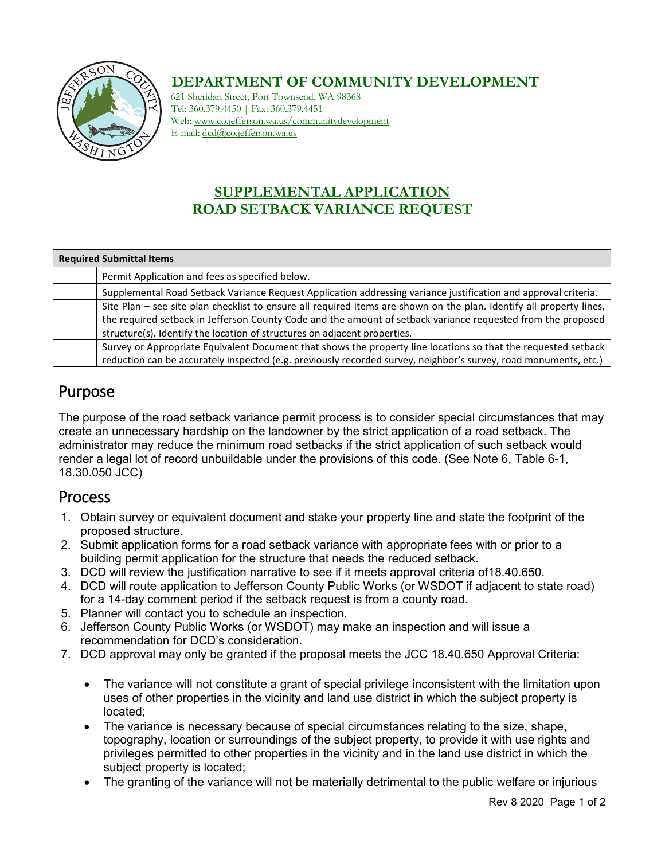

#### **DEPARTMENT OF COMMUNITY DEVELOPMENT**

621 Sheridan Street, Port Townsend, WA 98368 Tel: 360.379.4450 | Fax: 360.379.4451 Web: www.co.jefferson.wa.us/communitydevelopment E-mail: dcd@co.jefferson.wa.us

## **SUPPLEMENTAL APPLICATION ROAD SETBACK VARIANCE REQUEST**

| <b>Required Submittal Items</b> |                                                                                                                      |  |  |
|---------------------------------|----------------------------------------------------------------------------------------------------------------------|--|--|
|                                 | Permit Application and fees as specified below.                                                                      |  |  |
|                                 | Supplemental Road Setback Variance Request Application addressing variance justification and approval criteria.      |  |  |
|                                 | Site Plan – see site plan checklist to ensure all required items are shown on the plan. Identify all property lines, |  |  |
|                                 | the required setback in Jefferson County Code and the amount of setback variance requested from the proposed         |  |  |
|                                 | structure(s). Identify the location of structures on adjacent properties.                                            |  |  |
|                                 | Survey or Appropriate Equivalent Document that shows the property line locations so that the requested setback       |  |  |
|                                 | reduction can be accurately inspected (e.g. previously recorded survey, neighbor's survey, road monuments, etc.)     |  |  |

# Purpose

The purpose of the road setback variance permit process is to consider special circumstances that may create an unnecessary hardship on the landowner by the strict application of a road setback. The administrator may reduce the minimum road setbacks if the strict application of such setback would render a legal lot of record unbuildable under the provisions of this code. (See Note 6, Table 6-1, 18.30.050 JCC)

#### Process

- 1. Obtain survey or equivalent document and stake your property line and state the footprint of the proposed structure.
- 2. Submit application forms for a road setback variance with appropriate fees with or prior to a building permit application for the structure that needs the reduced setback.
- 3. DCD will review the justification narrative to see if it meets approval criteria of18.40.650.
- 4. DCD will route application to Jefferson County Public Works (or WSDOT if adjacent to state road) for a 14-day comment period if the setback request is from a county road.
- 5. Planner will contact you to schedule an inspection.
- 6. Jefferson County Public Works (or WSDOT) may make an inspection and will issue a recommendation for DCD's consideration.
- 7. DCD approval may only be granted if the proposal meets the JCC 18.40.650 Approval Criteria:
	- The variance will not constitute a grant of special privilege inconsistent with the limitation upon uses of other properties in the vicinity and land use district in which the subject property is located;
	- The variance is necessary because of special circumstances relating to the size, shape, topography, location or surroundings of the subject property, to provide it with use rights and privileges permitted to other properties in the vicinity and in the land use district in which the subject property is located;
	- The granting of the variance will not be materially detrimental to the public welfare or injurious